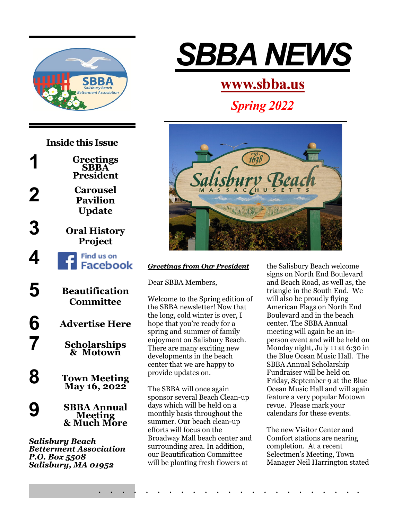



*Salisbury Beach Betterment Association P.O. Box 5508 Salisbury, MA 01952*



# **[www.sbba.us](http://www.sbba.us/)**

*Spring 2022*



# *Greetings from Our President*

Dear SBBA Members,

Welcome to the Spring edition of the SBBA newsletter! Now that the long, cold winter is over, I hope that you're ready for a spring and summer of family enjoyment on Salisbury Beach. There are many exciting new developments in the beach center that we are happy to provide updates on.

The SBBA will once again sponsor several Beach Clean-up days which will be held on a monthly basis throughout the summer. Our beach clean-up efforts will focus on the Broadway Mall beach center and surrounding area. In addition, our Beautification Committee will be planting fresh flowers at

. . . . . . . . . . . . . . . . . . . . . . .

the Salisbury Beach welcome signs on North End Boulevard and Beach Road, as well as, the triangle in the South End. We will also be proudly flying American Flags on North End Boulevard and in the beach center. The SBBA Annual meeting will again be an inperson event and will be held on Monday night, July 11 at 6:30 in the Blue Ocean Music Hall. The SBBA Annual Scholarship Fundraiser will be held on Friday, September 9 at the Blue Ocean Music Hall and will again feature a very popular Motown revue. Please mark your calendars for these events.

The new Visitor Center and Comfort stations are nearing completion. At a recent Selectmen's Meeting, Town Manager Neil Harrington stated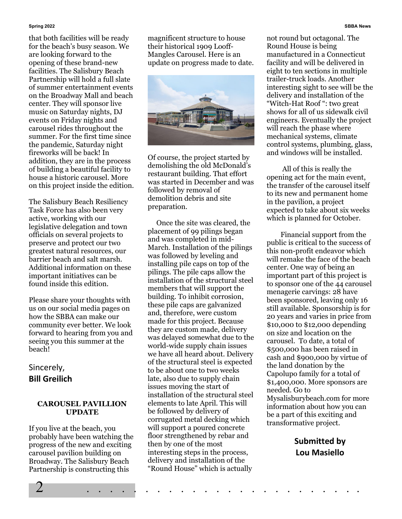#### **Spring 2022 SBBA News**

that both facilities will be ready for the beach's busy season. We are looking forward to the opening of these brand-new facilities. The Salisbury Beach Partnership will hold a full slate of summer entertainment events on the Broadway Mall and beach center. They will sponsor live music on Saturday nights, DJ events on Friday nights and carousel rides throughout the summer. For the first time since the pandemic, Saturday night fireworks will be back! In addition, they are in the process of building a beautiful facility to house a historic carousel. More on this project inside the edition.

The Salisbury Beach Resiliency Task Force has also been very active, working with our legislative delegation and town officials on several projects to preserve and protect our two greatest natural resources, our barrier beach and salt marsh. Additional information on these important initiatives can be found inside this edition.

Please share your thoughts with us on our social media pages on how the SBBA can make our community ever better. We look forward to hearing from you and seeing you this summer at the beach!

# Sincerely, **Bill Greilich**

#### **CAROUSEL PAVILLION UPDATE**

If you live at the beach, you probably have been watching the progress of the new and exciting carousel pavilion building on Broadway. The Salisbury Beach Partnership is constructing this

magnificent structure to house their historical 1909 Looff-Mangles Carousel. Here is an update on progress made to date.



Of course, the project started by demolishing the old McDonald's restaurant building. That effort was started in December and was followed by removal of demolition debris and site preparation.

 Once the site was cleared, the placement of 99 pilings began and was completed in mid-March. Installation of the pilings was followed by leveling and installing pile caps on top of the pilings. The pile caps allow the installation of the structural steel members that will support the building. To inhibit corrosion, these pile caps are galvanized and, therefore, were custom made for this project. Because they are custom made, delivery was delayed somewhat due to the world-wide supply chain issues we have all heard about. Delivery of the structural steel is expected to be about one to two weeks late, also due to supply chain issues moving the start of installation of the structural steel elements to late April. This will be followed by delivery of corrugated metal decking which will support a poured concrete floor strengthened by rebar and then by one of the most interesting steps in the process, delivery and installation of the "Round House" which is actually

2 . . . . . . . . . . . . . . . . . . . . . . . .

not round but octagonal. The Round House is being manufactured in a Connecticut facility and will be delivered in eight to ten sections in multiple trailer-truck loads. Another interesting sight to see will be the delivery and installation of the "Witch-Hat Roof ": two great shows for all of us sidewalk civil engineers. Eventually the project will reach the phase where mechanical systems, climate control systems, plumbing, glass, and windows will be installed.

 All of this is really the opening act for the main event, the transfer of the carousel itself to its new and permanent home in the pavilion, a project expected to take about six weeks which is planned for October.

 Financial support from the public is critical to the success of this non-profit endeavor which will remake the face of the beach center. One way of being an important part of this project is to sponsor one of the 44 carousel menagerie carvings: 28 have been sponsored, leaving only 16 still available. Sponsorship is for 20 years and varies in price from \$10,000 to \$12,000 depending on size and location on the carousel. To date, a total of \$500,000 has been raised in cash and \$900,000 by virtue of the land donation by the Capolupo family for a total of \$1,400,000. More sponsors are needed. Go to Mysalisburybeach.com for more information about how you can be a part of this exciting and transformative project.

> **Submitted by Lou Masiello**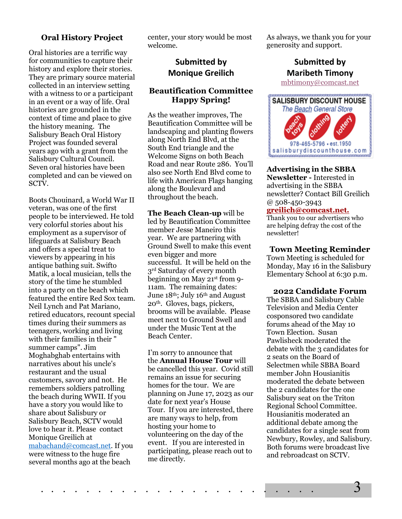# **Oral History Project**

Oral histories are a terrific way for communities to capture their history and explore their stories. They are primary source material collected in an interview setting with a witness to or a participant in an event or a way of life. Oral histories are grounded in the context of time and place to give the history meaning. The Salisbury Beach Oral History Project was founded several years ago with a grant from the Salisbury Cultural Council. Seven oral histories have been completed and can be viewed on SCTV.

Boots Chouinard, a World War II veteran, was one of the first people to be interviewed. He told very colorful stories about his employment as a supervisor of lifeguards at Salisbury Beach and offers a special treat to viewers by appearing in his antique bathing suit. Swifto Matik, a local musician, tells the story of the time he stumbled into a party on the beach which featured the entire Red Sox team. Neil Lynch and Pat Mariano, retired educators, recount special times during their summers as teenagers, working and living with their families in their " summer camps". Jim Moghabghab entertains with narratives about his uncle's restaurant and the usual customers, savory and not. He remembers soldiers patrolling the beach during WWII. If you have a story you would like to share about Salisbury or Salisbury Beach, SCTV would love to hear it. Please contact Monique Greilich at [mabachand@comcast.net.](mailto:mabachand@comcast.net) If you were witness to the huge fire several months ago at the beach

center, your story would be most welcome.

# **Submitted by Monique Greilich**

## **Beautification Committee Happy Spring!**

As the weather improves, The Beautification Committee will be landscaping and planting flowers along North End Blvd, at the South End triangle and the Welcome Signs on both Beach Road and near Route 286. You'll also see North End Blvd come to life with American Flags hanging along the Boulevard and throughout the beach.

**The Beach Clean-up** will be led by Beautification Committee member Jesse Maneiro this year. We are partnering with Ground Swell to make this event even bigger and more successful. It will be held on the 3rd Saturday of every month beginning on May 21st from 9- 11am. The remaining dates: June 18th; July 16th and August 20th. Gloves, bags, pickers, brooms will be available. Please meet next to Ground Swell and under the Music Tent at the Beach Center.

I'm sorry to announce that the **Annual House Tour** will be cancelled this year. Covid still remains an issue for securing homes for the tour. We are planning on June 17, 2023 as our date for next year's House Tour. If you are interested, there are many ways to help, from hosting your home to volunteering on the day of the event. If you are interested in participating, please reach out to me directly.

As always, we thank you for your generosity and support.

# **Submitted by Maribeth Timony**

[mbtimony@comcast.net](mailto:mbtimony@comcast.net)



#### **Advertising in the SBBA Newsletter -** Interested in

advertising in the SBBA newsletter? Contact Bill Greilich @ 508-450-3943

### **[greilich@comcast.net.](mailto:greilich@comcast.net)**

Thank you to our advertisers who are helping defray the cost of the newsletter!

#### **Town Meeting Reminder**

Town Meeting is scheduled for Monday, May 16 in the Salisbury Elementary School at 6:30 p.m.

#### **2022 Candidate Forum**

The SBBA and Salisbury Cable Television and Media Center cosponsored two candidate forums ahead of the May 10 Town Election. Susan Pawlisheck moderated the debate with the 3 candidates for 2 seats on the Board of Selectmen while SBBA Board member John Housianitis moderated the debate between the 2 candidates for the one Salisbury seat on the Triton Regional School Committee. Housianitis moderated an additional debate among the candidates for a single seat from Newbury, Rowley, and Salisbury. Both forums were broadcast live and rebroadcast on SCTV.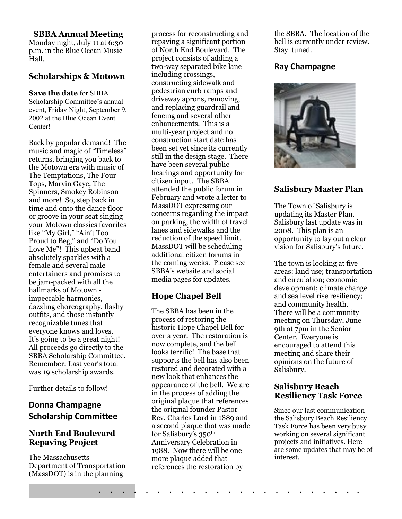#### **SBBA Annual Meeting**

Monday night, July 11 at 6:30 p.m. in the Blue Ocean Music Hall.

# **Scholarships & Motown**

#### **Save the date** for SBBA

Scholarship Committee's annual event, Friday Night, September 9, 2002 at the Blue Ocean Event Center!

Back by popular demand! The music and magic of "Timeless" returns, bringing you back to the Motown era with music of The Temptations, The Four Tops, Marvin Gaye, The Spinners, Smokey Robinson and more! So, step back in time and onto the dance floor or groove in your seat singing your Motown classics favorites like "My Girl," "Ain't Too Proud to Beg," and "Do You Love Me"! This upbeat band absolutely sparkles with a female and several male entertainers and promises to be jam-packed with all the hallmarks of Motown impeccable harmonies, dazzling choreography, flashy outfits, and those instantly recognizable tunes that everyone knows and loves. It's going to be a great night! All proceeds go directly to the SBBA Scholarship Committee. Remember: Last year's total was 19 scholarship awards.

Further details to follow!

# **Donna Champagne Scholarship Committee**

# **North End Boulevard Repaving Project**

The Massachusetts Department of Transportation (MassDOT) is in the planning

process for reconstructing and repaving a significant portion of North End Boulevard. The project consists of adding a two-way separated bike lane including crossings, constructing sidewalk and pedestrian curb ramps and driveway aprons, removing, and replacing guardrail and fencing and several other enhancements. This is a multi-year project and no construction start date has been set yet since its currently still in the design stage. There have been several public hearings and opportunity for citizen input. The SBBA attended the public forum in February and wrote a letter to MassDOT expressing our concerns regarding the impact on parking, the width of travel lanes and sidewalks and the reduction of the speed limit. MassDOT will be scheduling additional citizen forums in the coming weeks. Please see SBBA's website and social media pages for updates.

# **Hope Chapel Bell**

The SBBA has been in the process of restoring the historic Hope Chapel Bell for over a year. The restoration is now complete, and the bell looks terrific! The base that supports the bell has also been restored and decorated with a new look that enhances the appearance of the bell. We are in the process of adding the original plaque that references the original founder Pastor Rev. Charles Lord in 1889 and a second plaque that was made for Salisbury's 350th Anniversary Celebration in 1988. Now there will be one more plaque added that references the restoration by

. . . . . . . . . . . . . . . . . . . . . . .

the SBBA. The location of the bell is currently under review. Stay tuned.

# **Ray Champagne**



# **Salisbury Master Plan**

The Town of Salisbury is updating its Master Plan. Salisbury last update was in 2008. This plan is an opportunity to lay out a clear vision for Salisbury's future.

The town is looking at five areas: land use; transportation and circulation; economic development; climate change and sea level rise resiliency; and community health. There will be a community meeting on Thursday, June 9th at 7pm in the Senior Center. Everyone is encouraged to attend this meeting and share their opinions on the future of Salisbury.

# **Salisbury Beach Resiliency Task Force**

Since our last communication the Salisbury Beach Resiliency Task Force has been very busy working on several significant projects and initiatives. Here are some updates that may be of interest.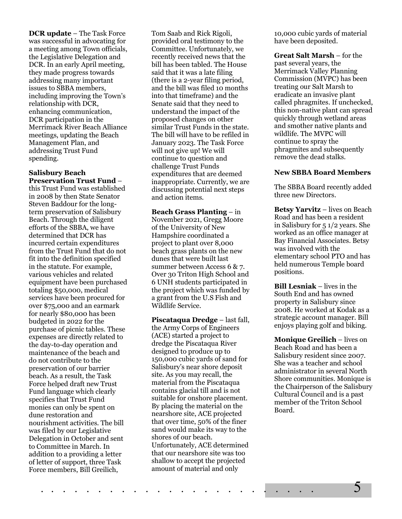**DCR update** – The Task Force was successful in advocating for a meeting among Town officials, the Legislative Delegation and DCR. In an early April meeting, they made progress towards addressing many important issues to SBBA members, including improving the Town's relationship with DCR, enhancing communication, DCR participation in the Merrimack River Beach Alliance meetings, updating the Beach Management Plan, and addressing Trust Fund spending.

#### **Salisbury Beach Preservation Trust Fund** –

this Trust Fund was established in 2008 by then State Senator Steven Baddour for the longterm preservation of Salisbury Beach. Through the diligent efforts of the SBBA, we have determined that DCR has incurred certain expenditures from the Trust Fund that do not fit into the definition specified in the statute. For example, various vehicles and related equipment have been purchased totaling \$50,000, medical services have been procured for over \$75,000 and an earmark for nearly \$80,000 has been budgeted in 2022 for the purchase of picnic tables. These expenses are directly related to the day-to-day operation and maintenance of the beach and do not contribute to the preservation of our barrier beach. As a result, the Task Force helped draft new Trust Fund language which clearly specifies that Trust Fund monies can only be spent on dune restoration and nourishment activities. The bill was filed by our Legislative Delegation in October and sent to Committee in March. In addition to a providing a letter of letter of support, three Task Force members, Bill Greilich,

Tom Saab and Rick Rigoli, provided oral testimony to the Committee. Unfortunately, we recently received news that the bill has been tabled. The House said that it was a late filing (there is a 2-year filing period, and the bill was filed 10 months into that timeframe) and the Senate said that they need to understand the impact of the proposed changes on other similar Trust Funds in the state. The bill will have to be refiled in January 2023. The Task Force will not give up! We will continue to question and challenge Trust Funds expenditures that are deemed inappropriate. Currently, we are discussing potential next steps and action items.

**Beach Grass Planting** – in November 2021, Gregg Moore of the University of New Hampshire coordinated a project to plant over 8,000 beach grass plants on the new dunes that were built last summer between Access 6 & 7. Over 30 Triton High School and 6 UNH students participated in the project which was funded by a grant from the U.S Fish and Wildlife Service.

**Piscataqua Dredge** – last fall, the Army Corps of Engineers (ACE) started a project to dredge the Piscataqua River designed to produce up to 150,000 cubic yards of sand for Salisbury's near shore deposit site. As you may recall, the material from the Piscataqua contains glacial till and is not suitable for onshore placement. By placing the material on the nearshore site, ACE projected that over time, 50% of the finer sand would make its way to the shores of our beach. Unfortunately, ACE determined that our nearshore site was too shallow to accept the projected amount of material and only

10,000 cubic yards of material have been deposited.

**Great Salt Marsh** – for the past several years, the Merrimack Valley Planning Commission (MVPC) has been treating our Salt Marsh to eradicate an invasive plant called phragmites. If unchecked, this non-native plant can spread quickly through wetland areas and smother native plants and wildlife. The MVPC will continue to spray the phragmites and subsequently remove the dead stalks.

#### **New SBBA Board Members**

The SBBA Board recently added three new Directors.

**Betsy Yarvitz** – lives on Beach Road and has been a resident in Salisbury for 5 1/2 years. She worked as an office manager at Bay Financial Associates. Betsy was involved with the elementary school PTO and has held numerous Temple board positions.

**Bill Lesniak** – lives in the South End and has owned property in Salisbury since 2008. He worked at Kodak as a strategic account manager. Bill enjoys playing golf and biking.

**Monique Greilich** – lives on Beach Road and has been a Salisbury resident since 2007. She was a teacher and school administrator in several North Shore communities. Monique is the Chairperson of the Salisbury Cultural Council and is a past member of the Triton School Board.